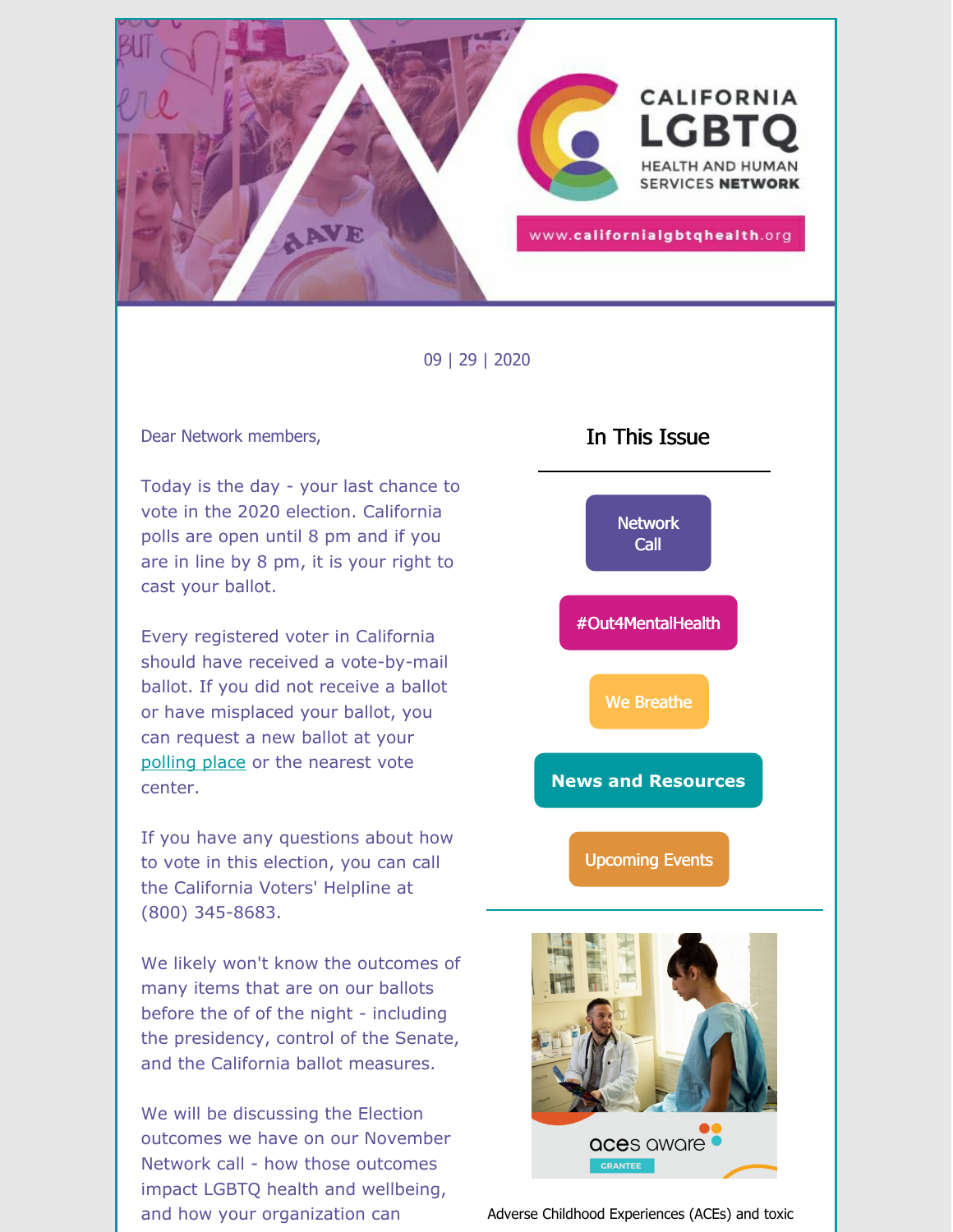

09 | 29 | 2020

#### Dear Network members,

Today is the day - your last chance to vote in the 2020 election. California polls are open until 8 pm and if you are in line by 8 pm, it is your right to cast your ballot.

Every registered voter in California should have received a vote-by-mail ballot. If you did not receive a ballot or have misplaced your ballot, you can request a new ballot at your [polling](https://www.sos.ca.gov/elections/polling-place?utm_campaign=buffer&utm_content=buffer0b049&utm_medium=social&utm_source=twitter.com) place or the nearest vote center.

If you have any questions about how to vote in this election, you can call the California Voters' Helpline at (800) 345-8683.

We likely won't know the outcomes of many items that are on our ballots before the of of the night - including the presidency, control of the Senate, and the California ballot measures.

We will be discussing the Election outcomes we have on our November Network call - how those outcomes impact LGBTQ health and wellbeing, and how your organization can



Adverse Childhood Experiences (ACEs) and toxic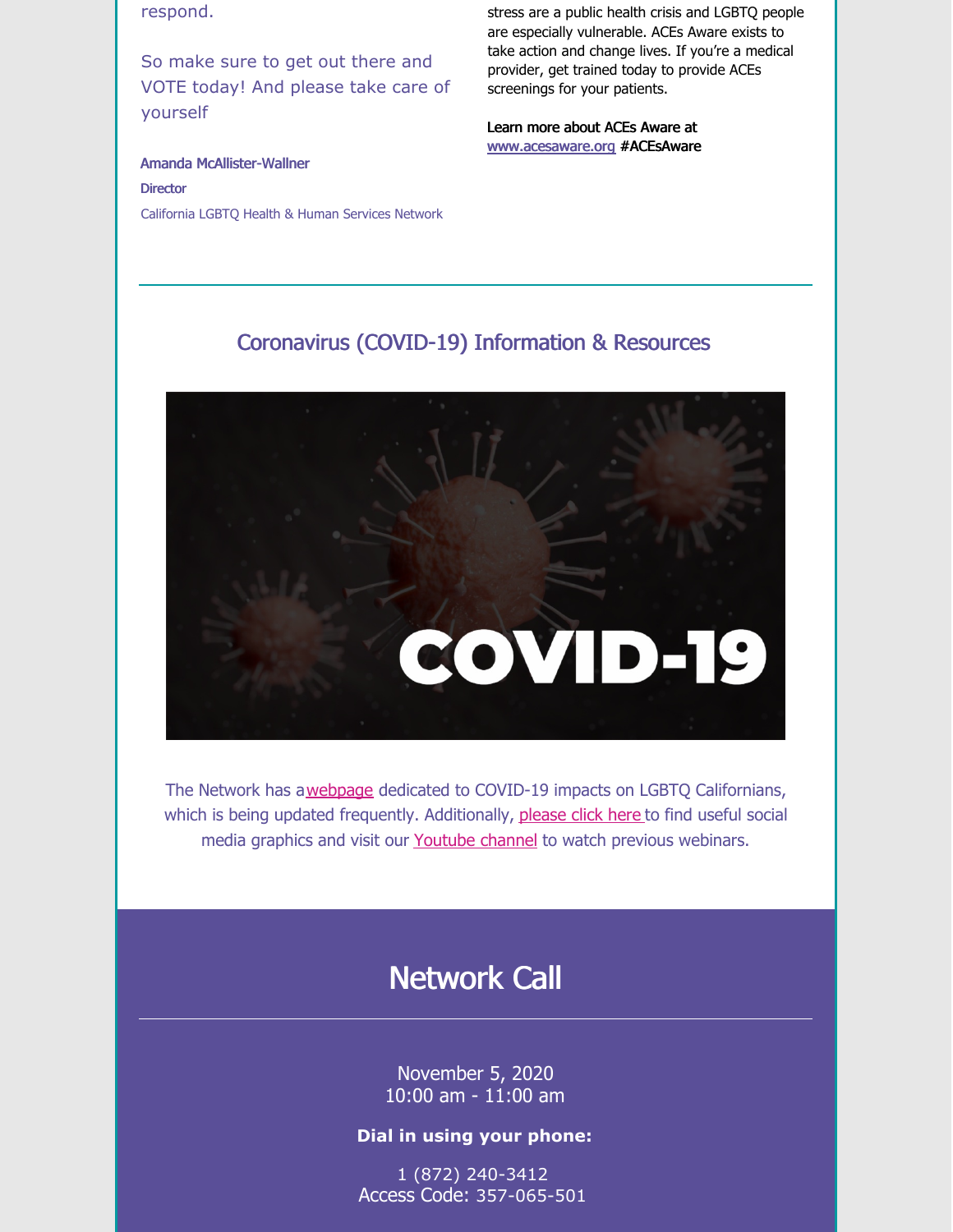respond.

So make sure to get out there and VOTE today! And please take care of yourself

stress are a public health crisis and LGBTQ people are especially vulnerable. ACEs Aware exists to take action and change lives. If you're a medical provider, get trained today to provide ACEs screenings for your patients.

Learn more about ACEs Aware at [www.acesaware.org](https://www.acesaware.org/) #ACEsAware

Amanda McAllister-Wallner **Director** California LGBTQ Health & Human Services Network

### Coronavirus (COVID-19) Information & Resources



The Network has a[webpage](https://californialgbtqhealth.org/resources/coronavirus-2019-information/) dedicated to COVID-19 impacts on LGBTQ Californians, which is being updated frequently. Additionally, [please](https://drive.google.com/drive/folders/1vkNJPhtlLEfaW1uv1YFyQLb5ZaTHJY5o?usp=sharing) click here to find useful social media graphics and visit our [Youtube](https://www.youtube.com/channel/UCHnQ3mqPPdafSsmeDqQ45wA?view_as=subscriber) channel to watch previous webinars.

# Network Call

November 5, 2020 10:00 am - 11:00 am

#### **Dial in using your phone:**

1 (872) 240-3412 Access Code: 357-065-501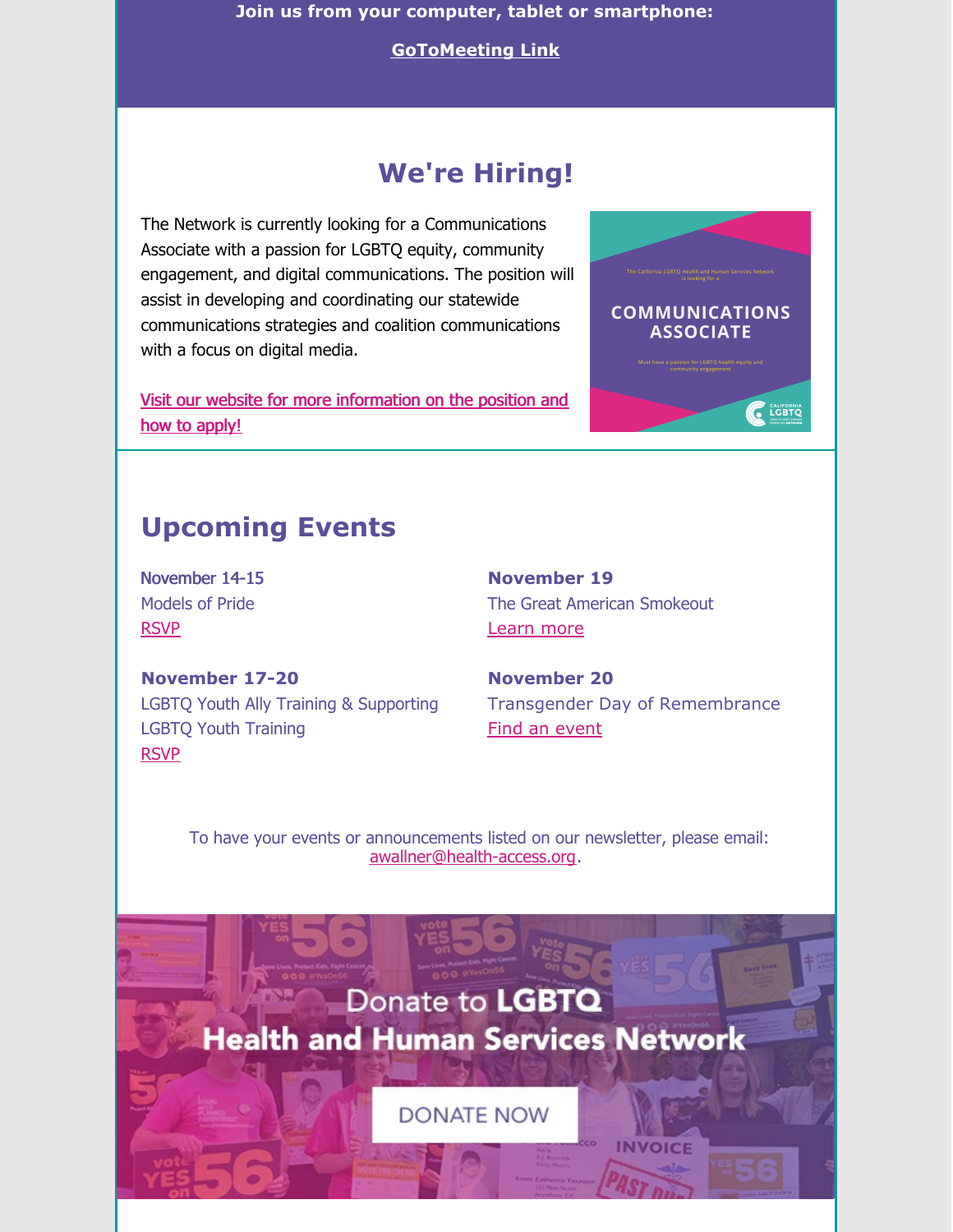**Join us from your computer, tablet or smartphone:**

**[GoToMeeting](https://global.gotomeeting.com/join/357065501) Link**

## **We're Hiring!**

The Network is currently looking for a Communications Associate with a passion for LGBTQ equity, community engagement, and digital communications. The position will assist in developing and coordinating our statewide communications strategies and coalition communications with a focus on digital media.

Visit our website for more [information](https://californialgbtqhealth.org/staff_page/employment-opportunities/) on the position and how to apply!



## **Upcoming Events**

November 14-15 Models of Pride [RSVP](https://modelsofpride.org/)

**November 17-20** LGBTQ Youth Ally Training & Supporting LGBTQ Youth Training [RSVP](http://sgiz.mobi/s3/O4MHYouthToT)

**November 19** The Great American Smokeout [Learn](https://www.tobaccofreecampus.org/the-great-american-smokeout) more

**November 20** Transgender Day of Remembrance Find an [event](https://www.glaad.org/tdor)

To have your events or announcements listed on our newsletter, please email: [awallner@health-access.org.](mailto:awallner@health-access.org)